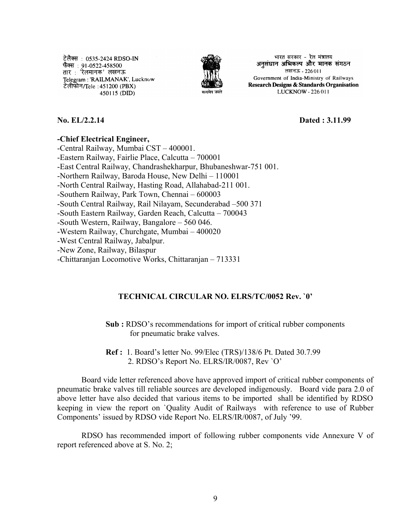टेलैक्स : 0535-2424 RDSO-IN फैक्स : 91-0522-458500 तार : 'रेलमानक' लखनऊ Telegram: 'RAILMANAK', Lucknow टेलीफोन/Tele :451200 (PBX) । 450115 (DID)



भारत सरकार - रेल मंत्रालय अनुसंधान अभिकल्प और मानक संगठन लखनऊ - 226011 Government of India-Ministry of Railways Research Designs & Standards Organisation LUCKNOW - 226 011

**No. EL/2.2.14 Dated : 3.11.99**

## **-Chief Electrical Engineer,**

-Central Railway, Mumbai CST – 400001. -Eastern Railway, Fairlie Place, Calcutta – 700001 -East Central Railway, Chandrashekharpur, Bhubaneshwar-751 001. -Northern Railway, Baroda House, New Delhi – 110001 -North Central Railway, Hasting Road, Allahabad-211 001. -Southern Railway, Park Town, Chennai – 600003 -South Central Railway, Rail Nilayam, Secunderabad –500 371 -South Eastern Railway, Garden Reach, Calcutta – 700043 -South Western, Railway, Bangalore – 560 046. -Western Railway, Churchgate, Mumbai – 400020 -West Central Railway, Jabalpur. -New Zone, Railway, Bilaspur -Chittaranjan Locomotive Works, Chittaranjan – 713331

## **TECHNICAL CIRCULAR NO. ELRS/TC/0052 Rev. `0'**

**Sub :** RDSO's recommendations for import of critical rubber components for pneumatic brake valves.

**Ref :** 1. Board's letter No. 99/Elec (TRS)/138/6 Pt. Dated 30.7.99 2. RDSO's Report No. ELRS/IR/0087, Rev `O'

Board vide letter referenced above have approved import of critical rubber components of pneumatic brake valves till reliable sources are developed indigenously. Board vide para 2.0 of above letter have also decided that various items to be imported shall be identified by RDSO keeping in view the report on `Quality Audit of Railways with reference to use of Rubber Components' issued by RDSO vide Report No. ELRS/IR/0087, of July '99.

RDSO has recommended import of following rubber components vide Annexure V of report referenced above at S. No. 2;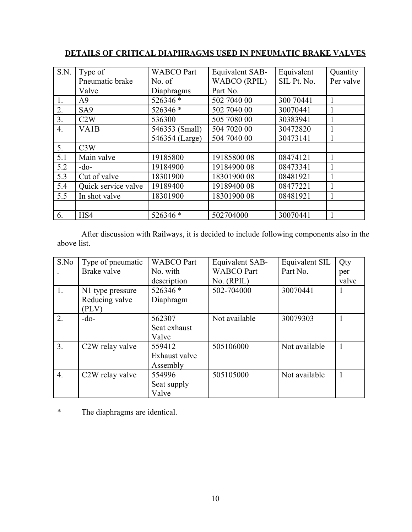| S.N.             | Type of             | <b>WABCO Part</b> | Equivalent SAB-     | Equivalent  | Quantity  |
|------------------|---------------------|-------------------|---------------------|-------------|-----------|
|                  | Pneumatic brake     | No. of            | <b>WABCO</b> (RPIL) | SIL Pt. No. | Per valve |
|                  | Valve               | Diaphragms        | Part No.            |             |           |
| 1.               | A <sup>9</sup>      | 526346 *          | 502 7040 00         | 300 70441   |           |
| 2.               | SA <sub>9</sub>     | 526346 *          | 502 7040 00         | 30070441    |           |
| 3.               | C2W                 | 536300            | 505 7080 00         | 30383941    |           |
| $\overline{4}$ . | VA <sub>1</sub> B   | 546353 (Small)    | 504 7020 00         | 30472820    |           |
|                  |                     | 546354 (Large)    | 504 7040 00         | 30473141    |           |
| 5.               | C3W                 |                   |                     |             |           |
| 5.1              | Main valve          | 19185800          | 1918580008          | 08474121    |           |
| 5.2              | $-do-$              | 19184900          | 1918490008          | 08473341    |           |
| 5.3              | Cut of valve        | 18301900          | 1830190008          | 08481921    |           |
| 5.4              | Quick service valve | 19189400          | 19189400 08         | 08477221    |           |
| 5.5              | In shot valve       | 18301900          | 1830190008          | 08481921    |           |
|                  |                     |                   |                     |             |           |
| 6.               | HS4                 | 526346 *          | 502704000           | 30070441    |           |

## **DETAILS OF CRITICAL DIAPHRAGMS USED IN PNEUMATIC BRAKE VALVES**

After discussion with Railways, it is decided to include following components also in the above list.

| S.No             | Type of pneumatic            | <b>WABCO</b> Part | Equivalent SAB-   | Equivalent SIL | Qty   |
|------------------|------------------------------|-------------------|-------------------|----------------|-------|
|                  | Brake valve                  | No. with          | <b>WABCO</b> Part | Part No.       | per   |
|                  |                              | description       | No. (RPIL)        |                | valve |
| 1.               | N1 type pressure             | 526346 *          | 502-704000        | 30070441       |       |
|                  | Reducing valve               | Diaphragm         |                   |                |       |
|                  | (PLV)                        |                   |                   |                |       |
| 2.               | $-do-$                       | 562307            | Not available     | 30079303       |       |
|                  |                              | Seat exhaust      |                   |                |       |
|                  |                              | Valve             |                   |                |       |
| 3.               | C <sub>2</sub> W relay valve | 559412            | 505106000         | Not available  |       |
|                  |                              | Exhaust valve     |                   |                |       |
|                  |                              | Assembly          |                   |                |       |
| $\overline{4}$ . | C2W relay valve              | 554996            | 505105000         | Not available  |       |
|                  |                              | Seat supply       |                   |                |       |
|                  |                              | Valve             |                   |                |       |

\* The diaphragms are identical.